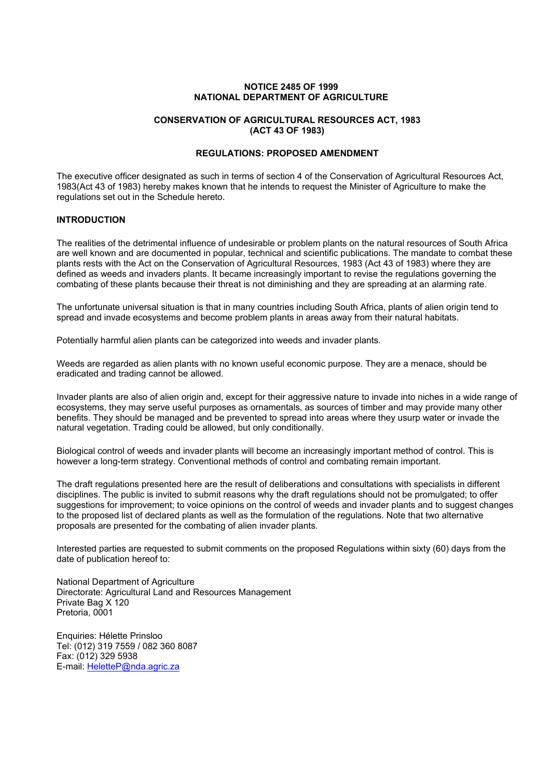## **NOTICE 2485 OF 1999 NATIONAL DEPARTMENT OF AGRICULTURE**

# **CONSERVATION OF AGRICULTURAL RESOURCES ACT, 1983 (ACT 43 OF 1983)**

## **REGULATIONS: PROPOSED AMENDMENT**

The executive officer designated as such in terms of section 4 of the Conservation of Agricultural Resources Act, 1983(Act 43 of 1983) hereby makes known that he intends to request the Minister of Agriculture to make the regulations set out in the Schedule hereto.

# **INTRODUCTION**

The realities of the detrimental influence of undesirable or problem plants on the natural resources of South Africa are well known and are documented in popular, technical and scientific publications. The mandate to combat these plants rests with the Act on the Conservation of Agricultural Resources, 1983 (Act 43 of 1983) where they are defined as weeds and invaders plants. It became increasingly important to revise the regulations governing the combating of these plants because their threat is not diminishing and they are spreading at an alarming rate.

The unfortunate universal situation is that in many countries including South Africa, plants of alien origin tend to spread and invade ecosystems and become problem plants in areas away from their natural habitats.

Potentially harmful alien plants can be categorized into weeds and invader plants.

Weeds are regarded as alien plants with no known useful economic purpose. They are a menace, should be eradicated and trading cannot be allowed.

Invader plants are also of alien origin and, except for their aggressive nature to invade into niches in a wide range of ecosystems, they may serve useful purposes as ornamentals, as sources of timber and may provide many other benefits. They should be managed and be prevented to spread into areas where they usurp water or invade the natural vegetation. Trading could be allowed, but only conditionally.

Biological control of weeds and invader plants will become an increasingly important method of control. This is however a long-term strategy. Conventional methods of control and combating remain important.

The draft regulations presented here are the result of deliberations and consultations with specialists in different disciplines. The public is invited to submit reasons why the draft regulations should not be promulgated; to offer suggestions for improvement; to voice opinions on the control of weeds and invader plants and to suggest changes to the proposed list of declared plants as well as the formulation of the regulations. Note that two alternative proposals are presented for the combating of alien invader plants.

Interested parties are requested to submit comments on the proposed Regulations within sixty (60) days from the date of publication hereof to:

National Department of Agriculture Directorate: Agricultural Land and Resources Management Private Bag X 120 Pretoria, 0001

Enquiries: Hélette Prinsloo Tel: (012) 319 7559 / 082 360 8087 Fax: (012) 329 5938 E-mail: HeletteP@nda.agric.za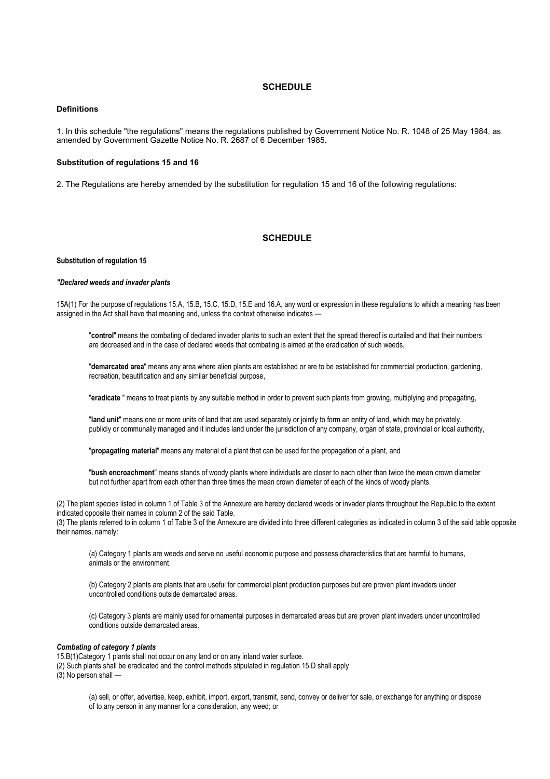## **SCHEDULE**

## **Definitions**

1. In this schedule "the regulations" means the regulations published by Government Notice No. R. 1048 of 25 May 1984, as amended by Government Gazette Notice No. R. 2687 of 6 December 1985.

### **Substitution of regulations 15 and 16**

2. The Regulations are hereby amended by the substitution for regulation 15 and 16 of the following regulations:

# **SCHEDULE**

#### **Substitution of regulation 15**

#### *"Declared weeds and invader plants*

15A(1) For the purpose of regulations 15.A, 15.B, 15.C, 15.D, 15.E and 16.A, any word or expression in these regulations to which a meaning has been assigned in the Act shall have that meaning and, unless the context otherwise indicates —

"**control**" means the combating of declared invader plants to such an extent that the spread thereof is curtailed and that their numbers are decreased and in the case of declared weeds that combating is aimed at the eradication of such weeds,

"**demarcated area**" means any area where alien plants are established or are to be established for commercial production, gardening, recreation, beautification and any similar beneficial purpose,

"**eradicate** " means to treat plants by any suitable method in order to prevent such plants from growing, multiplying and propagating,

"**land unit**" means one or more units of land that are used separately or jointly to form an entity of land, which may be privately, publicly or communally managed and it includes land under the jurisdiction of any company, organ of state, provincial or local authority,

"**propagating material**" means any material of a plant that can be used for the propagation of a plant, and

"**bush encroachment**" means stands of woody plants where individuals are closer to each other than twice the mean crown diameter but not further apart from each other than three times the mean crown diameter of each of the kinds of woody plants.

(2) The plant species listed in column 1 of Table 3 of the Annexure are hereby declared weeds or invader plants throughout the Republic to the extent indicated opposite their names in column 2 of the said Table. (3) The plants referred to in column 1 of Table 3 of the Annexure are divided into three different categories as indicated in column 3 of the said table opposite their names, namely:

(a) Category 1 plants are weeds and serve no useful economic purpose and possess characteristics that are harmful to humans, animals or the environment.

(b) Category 2 plants are plants that are useful for commercial plant production purposes but are proven plant invaders under uncontrolled conditions outside demarcated areas.

(c) Category 3 plants are mainly used for ornamental purposes in demarcated areas but are proven plant invaders under uncontrolled conditions outside demarcated areas.

### *Combating of category 1 plants*

15.B(1)Category 1 plants shall not occur on any land or on any inland water surface. (2) Such plants shall be eradicated and the control methods stipulated in regulation 15.D shall apply  $(3)$  No person shall —

> (a) sell, or offer, advertise, keep, exhibit, import, export, transmit, send, convey or deliver for sale, or exchange for anything or dispose of to any person in any manner for a consideration, any weed; or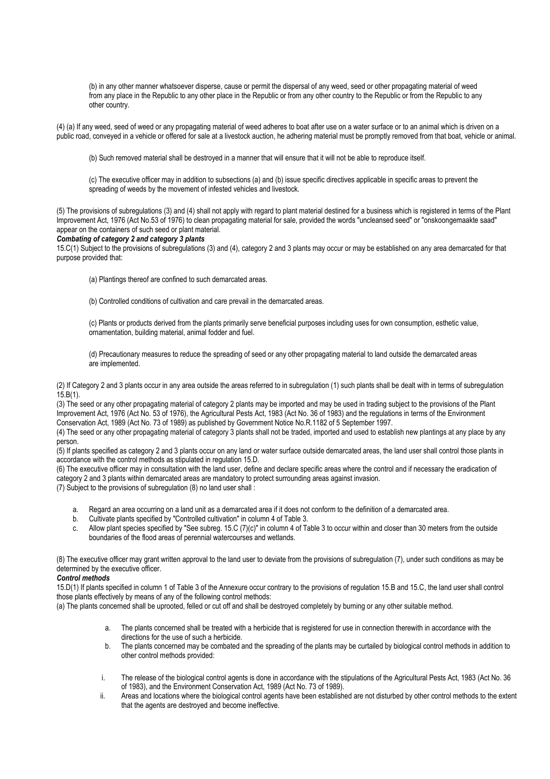(b) in any other manner whatsoever disperse, cause or permit the dispersal of any weed, seed or other propagating material of weed from any place in the Republic to any other place in the Republic or from any other country to the Republic or from the Republic to any other country.

(4) (a) If any weed, seed of weed or any propagating material of weed adheres to boat after use on a water surface or to an animal which is driven on a public road, conveyed in a vehicle or offered for sale at a livestock auction, he adhering material must be promptly removed from that boat, vehicle or animal.

(b) Such removed material shall be destroyed in a manner that will ensure that it will not be able to reproduce itself.

(c) The executive officer may in addition to subsections (a) and (b) issue specific directives applicable in specific areas to prevent the spreading of weeds by the movement of infested vehicles and livestock.

(5) The provisions of subregulations (3) and (4) shall not apply with regard to plant material destined for a business which is registered in terms of the Plant Improvement Act, 1976 (Act No.53 of 1976) to clean propagating material for sale, provided the words "uncleansed seed" or "onskoongemaakte saad" appear on the containers of such seed or plant material.

#### *Combating of category 2 and category 3 plants*

15.C(1) Subject to the provisions of subregulations (3) and (4), category 2 and 3 plants may occur or may be established on any area demarcated for that purpose provided that:

(a) Plantings thereof are confined to such demarcated areas.

(b) Controlled conditions of cultivation and care prevail in the demarcated areas.

(c) Plants or products derived from the plants primarily serve beneficial purposes including uses for own consumption, esthetic value, ornamentation, building material, animal fodder and fuel.

(d) Precautionary measures to reduce the spreading of seed or any other propagating material to land outside the demarcated areas are implemented.

(2) If Category 2 and 3 plants occur in any area outside the areas referred to in subregulation (1) such plants shall be dealt with in terms of subregulation  $15.B(1)$ .

(3) The seed or any other propagating material of category 2 plants may be imported and may be used in trading subject to the provisions of the Plant Improvement Act, 1976 (Act No. 53 of 1976), the Agricultural Pests Act, 1983 (Act No. 36 of 1983) and the regulations in terms of the Environment Conservation Act, 1989 (Act No. 73 of 1989) as published by Government Notice No.R.1182 of 5 September 1997.

(4) The seed or any other propagating material of category 3 plants shall not be traded, imported and used to establish new plantings at any place by any person.

(5) If plants specified as category 2 and 3 plants occur on any land or water surface outside demarcated areas, the land user shall control those plants in accordance with the control methods as stipulated in regulation 15.D.

(6) The executive officer may in consultation with the land user, define and declare specific areas where the control and if necessary the eradication of category 2 and 3 plants within demarcated areas are mandatory to protect surrounding areas against invasion.

(7) Subject to the provisions of subregulation (8) no land user shall :

- a. Regard an area occurring on a land unit as a demarcated area if it does not conform to the definition of a demarcated area.
- b. Cultivate plants specified by "Controlled cultivation" in column 4 of Table 3.
- c. Allow plant species specified by "See subreg. 15.C (7)(c)" in column 4 of Table 3 to occur within and closer than 30 meters from the outside boundaries of the flood areas of perennial watercourses and wetlands.

(8) The executive officer may grant written approval to the land user to deviate from the provisions of subregulation (7), under such conditions as may be determined by the executive officer.

## *Control methods*

15.D(1) If plants specified in column 1 of Table 3 of the Annexure occur contrary to the provisions of regulation 15.B and 15.C, the land user shall control those plants effectively by means of any of the following control methods:

(a) The plants concerned shall be uprooted, felled or cut off and shall be destroyed completely by burning or any other suitable method.

- a. The plants concerned shall be treated with a herbicide that is registered for use in connection therewith in accordance with the directions for the use of such a herbicide.
- b. The plants concerned may be combated and the spreading of the plants may be curtailed by biological control methods in addition to other control methods provided:
- i. The release of the biological control agents is done in accordance with the stipulations of the Agricultural Pests Act, 1983 (Act No. 36 of 1983), and the Environment Conservation Act, 1989 (Act No. 73 of 1989).
- ii. Areas and locations where the biological control agents have been established are not disturbed by other control methods to the extent that the agents are destroyed and become ineffective.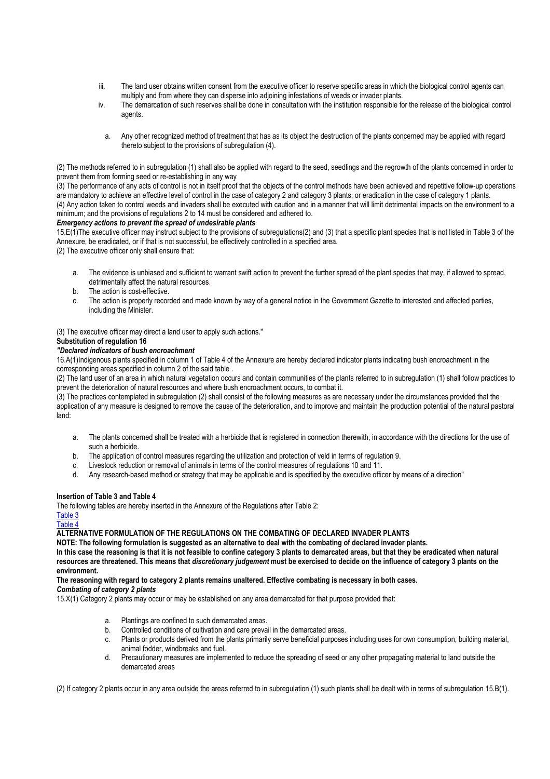- iii. The land user obtains written consent from the executive officer to reserve specific areas in which the biological control agents can multiply and from where they can disperse into adjoining infestations of weeds or invader plants.
- iv. The demarcation of such reserves shall be done in consultation with the institution responsible for the release of the biological control agents.
	- a. Any other recognized method of treatment that has as its object the destruction of the plants concerned may be applied with regard thereto subject to the provisions of subregulation (4).

(2) The methods referred to in subregulation (1) shall also be applied with regard to the seed, seedlings and the regrowth of the plants concerned in order to prevent them from forming seed or re-establishing in any way

(3) The performance of any acts of control is not in itself proof that the objects of the control methods have been achieved and repetitive follow-up operations are mandatory to achieve an effective level of control in the case of category 2 and category 3 plants; or eradication in the case of category 1 plants.

(4) Any action taken to control weeds and invaders shall be executed with caution and in a manner that will limit detrimental impacts on the environment to a minimum; and the provisions of regulations 2 to 14 must be considered and adhered to.

## *Emergency actions to prevent the spread of undesirable plants*

15.E(1)The executive officer may instruct subject to the provisions of subregulations(2) and (3) that a specific plant species that is not listed in Table 3 of the Annexure, be eradicated, or if that is not successful, be effectively controlled in a specified area.

(2) The executive officer only shall ensure that:

- a. The evidence is unbiased and sufficient to warrant swift action to prevent the further spread of the plant species that may, if allowed to spread, detrimentally affect the natural resources.
- b. The action is cost-effective.
- c. The action is properly recorded and made known by way of a general notice in the Government Gazette to interested and affected parties, including the Minister.

(3) The executive officer may direct a land user to apply such actions."

## **Substitution of regulation 16**

## *"Declared indicators of bush encroachment*

16.A(1)Indigenous plants specified in column 1 of Table 4 of the Annexure are hereby declared indicator plants indicating bush encroachment in the corresponding areas specified in column 2 of the said table .

(2) The land user of an area in which natural vegetation occurs and contain communities of the plants referred to in subregulation (1) shall follow practices to prevent the deterioration of natural resources and where bush encroachment occurs, to combat it.

(3) The practices contemplated in subregulation (2) shall consist of the following measures as are necessary under the circumstances provided that the application of any measure is designed to remove the cause of the deterioration, and to improve and maintain the production potential of the natural pastoral land:

- a. The plants concerned shall be treated with a herbicide that is registered in connection therewith, in accordance with the directions for the use of such a herbicide.
- b. The application of control measures regarding the utilization and protection of veld in terms of regulation 9.
- c. Livestock reduction or removal of animals in terms of the control measures of regulations 10 and 11.
- d. Any research-based method or strategy that may be applicable and is specified by the executive officer by means of a direction"

## **Insertion of Table 3 and Table 4**

The following tables are hereby inserted in the Annexure of the Regulations after Table 2:

# Table 3

#### Table 4 **ALTERNATIVE FORMULATION OF THE REGULATIONS ON THE COMBATING OF DECLARED INVADER PLANTS**

**NOTE: The following formulation is suggested as an alternative to deal with the combating of declared invader plants.** 

**In this case the reasoning is that it is not feasible to confine category 3 plants to demarcated areas, but that they be eradicated when natural resources are threatened. This means that** *discretionary judgement* **must be exercised to decide on the influence of category 3 plants on the environment.** 

**The reasoning with regard to category 2 plants remains unaltered. Effective combating is necessary in both cases.** 

# *Combating of category 2 plants*

15.X(1) Category 2 plants may occur or may be established on any area demarcated for that purpose provided that:

- a. Plantings are confined to such demarcated areas.
- b. Controlled conditions of cultivation and care prevail in the demarcated areas.
- c. Plants or products derived from the plants primarily serve beneficial purposes including uses for own consumption, building material, animal fodder, windbreaks and fuel.
- d. Precautionary measures are implemented to reduce the spreading of seed or any other propagating material to land outside the demarcated areas

(2) If category 2 plants occur in any area outside the areas referred to in subregulation (1) such plants shall be dealt with in terms of subregulation 15.B(1).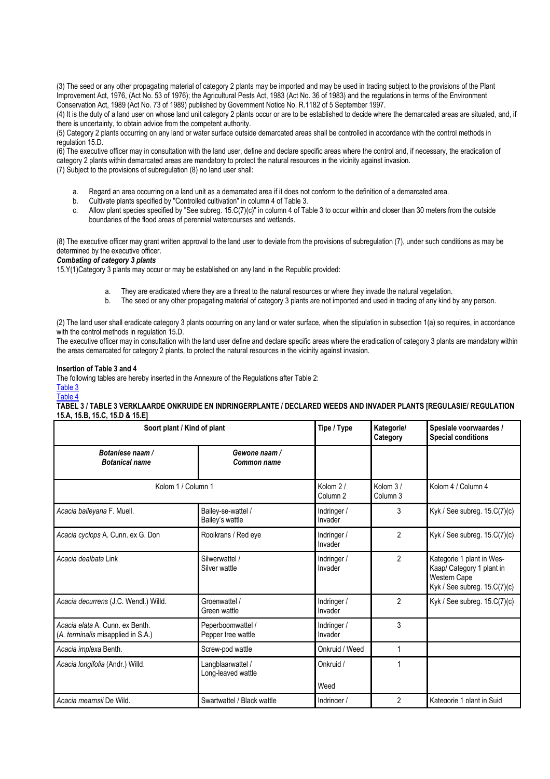(3) The seed or any other propagating material of category 2 plants may be imported and may be used in trading subject to the provisions of the Plant Improvement Act, 1976, (Act No. 53 of 1976); the Agricultural Pests Act, 1983 (Act No. 36 of 1983) and the regulations in terms of the Environment Conservation Act, 1989 (Act No. 73 of 1989) published by Government Notice No. R.1182 of 5 September 1997.

(4) It is the duty of a land user on whose land unit category 2 plants occur or are to be established to decide where the demarcated areas are situated, and, if there is uncertainty, to obtain advice from the competent authority.

(5) Category 2 plants occurring on any land or water surface outside demarcated areas shall be controlled in accordance with the control methods in regulation 15.D.

(6) The executive officer may in consultation with the land user, define and declare specific areas where the control and, if necessary, the eradication of category 2 plants within demarcated areas are mandatory to protect the natural resources in the vicinity against invasion. (7) Subject to the provisions of subregulation (8) no land user shall:

- a. Regard an area occurring on a land unit as a demarcated area if it does not conform to the definition of a demarcated area.
- b. Cultivate plants specified by "Controlled cultivation" in column 4 of Table 3.
- c. Allow plant species specified by "See subreg. 15.C(7)(c)" in column 4 of Table 3 to occur within and closer than 30 meters from the outside boundaries of the flood areas of perennial watercourses and wetlands.

(8) The executive officer may grant written approval to the land user to deviate from the provisions of subregulation (7), under such conditions as may be determined by the executive officer.

# *Combating of category 3 plants*

15.Y(1)Category 3 plants may occur or may be established on any land in the Republic provided:

- a. They are eradicated where they are a threat to the natural resources or where they invade the natural vegetation.
- b. The seed or any other propagating material of category 3 plants are not imported and used in trading of any kind by any person.

(2) The land user shall eradicate category 3 plants occurring on any land or water surface, when the stipulation in subsection 1(a) so requires, in accordance with the control methods in regulation 15.D.

The executive officer may in consultation with the land user define and declare specific areas where the eradication of category 3 plants are mandatory within the areas demarcated for category 2 plants, to protect the natural resources in the vicinity against invasion.

#### **Insertion of Table 3 and 4**

The following tables are hereby inserted in the Annexure of the Regulations after Table 2: Table 3

# Table 4

**TABEL 3 / TABLE 3 VERKLAARDE ONKRUIDE EN INDRINGERPLANTE / DECLARED WEEDS AND INVADER PLANTS [REGULASIE/ REGULATION 15.A, 15.B, 15.C, 15.D & 15.E]**

| Soort plant / Kind of plant                                           |                                         | Tipe / Type                     | Kategorie/<br>Category | Spesiale voorwaardes /<br><b>Special conditions</b>                                                    |
|-----------------------------------------------------------------------|-----------------------------------------|---------------------------------|------------------------|--------------------------------------------------------------------------------------------------------|
| Botaniese naam /<br><b>Botanical name</b>                             | Gewone naam /<br><b>Common name</b>     |                                 |                        |                                                                                                        |
| Kolom 1 / Column 1                                                    |                                         | Kolom 2/<br>Column <sub>2</sub> | Kolom 3/<br>Column 3   | Kolom 4 / Column 4                                                                                     |
| Acacia baileyana F. Muell.                                            | Bailey-se-wattel /<br>Bailey's wattle   | Indringer /<br>Invader          | 3                      | Kyk / See subreg. 15.C(7)(c)                                                                           |
| Acacia cyclops A. Cunn. ex G. Don                                     | Rooikrans / Red eye                     | Indringer /<br>Invader          | $\overline{2}$         | Kyk / See subreg. 15.C(7)(c)                                                                           |
| Acacia dealbata Link                                                  | Silwerwattel /<br>Silver wattle         | Indringer /<br>Invader          | $\overline{2}$         | Kategorie 1 plant in Wes-<br>Kaap/ Category 1 plant in<br>Western Cape<br>Kyk / See subreg. 15.C(7)(c) |
| Acacia decurrens (J.C. Wendl.) Willd.                                 | Groenwattel /<br>Green wattle           | Indringer /<br>Invader          | $\overline{2}$         | Kyk / See subreg. $15.C(7)(c)$                                                                         |
| Acacia elata A. Cunn. ex Benth.<br>(A. terminalis misapplied in S.A.) | Peperboomwattel /<br>Pepper tree wattle | Indringer /<br>Invader          | 3                      |                                                                                                        |
| Acacia implexa Benth.                                                 | Screw-pod wattle                        | Onkruid / Weed                  | 1                      |                                                                                                        |
| Acacia longifolia (Andr.) Willd.                                      | Langblaarwattel /<br>Long-leaved wattle | Onkruid /<br>Weed               |                        |                                                                                                        |
| Acacia mearnsii De Wild.                                              | Swartwattel / Black wattle              | Indringer /                     | $\mathfrak{p}$         | Kategorie 1 plant in Suid                                                                              |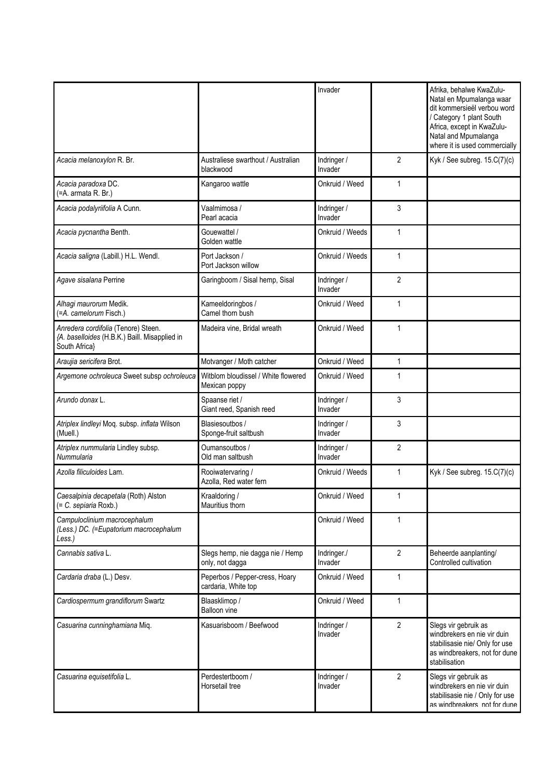|                                                                                                       |                                                       | Invader                |                | Afrika, behalwe KwaZulu-<br>Natal en Mpumalanga waar<br>dit kommersieël verbou word<br>/ Category 1 plant South<br>Africa, except in KwaZulu-<br>Natal and Mpumalanga<br>where it is used commercially |
|-------------------------------------------------------------------------------------------------------|-------------------------------------------------------|------------------------|----------------|--------------------------------------------------------------------------------------------------------------------------------------------------------------------------------------------------------|
| Acacia melanoxylon R. Br.                                                                             | Australiese swarthout / Australian<br>blackwood       | Indringer /<br>Invader | 2              | Kyk / See subreg. $15.C(7)(c)$                                                                                                                                                                         |
| Acacia paradoxa DC.<br>(=A. armata R. Br.)                                                            | Kangaroo wattle                                       | Onkruid / Weed         | 1              |                                                                                                                                                                                                        |
| Acacia podalyriifolia A Cunn.                                                                         | Vaalmimosa /<br>Pearl acacia                          | Indringer /<br>Invader | 3              |                                                                                                                                                                                                        |
| Acacia pycnantha Benth.                                                                               | Gouewattel /<br>Golden wattle                         | Onkruid / Weeds        | 1              |                                                                                                                                                                                                        |
| Acacia saligna (Labill.) H.L. Wendl.                                                                  | Port Jackson /<br>Port Jackson willow                 | Onkruid / Weeds        | $\mathbf{1}$   |                                                                                                                                                                                                        |
| Agave sisalana Perrine                                                                                | Garingboom / Sisal hemp, Sisal                        | Indringer /<br>Invader | $\overline{2}$ |                                                                                                                                                                                                        |
| Alhagi maurorum Medik.<br>(=A. camelorum Fisch.)                                                      | Kameeldoringbos /<br>Camel thorn bush                 | Onkruid / Weed         | 1              |                                                                                                                                                                                                        |
| Anredera cordifolia (Tenore) Steen.<br>{A. baselloides (H.B.K.) Baill. Misapplied in<br>South Africa} | Madeira vine, Bridal wreath                           | Onkruid / Weed         | 1              |                                                                                                                                                                                                        |
| Araujia sericifera Brot.                                                                              | Motvanger / Moth catcher                              | Onkruid / Weed         | 1              |                                                                                                                                                                                                        |
| Argemone ochroleuca Sweet subsp ochroleuca                                                            | Witblom bloudissel / White flowered<br>Mexican poppy  | Onkruid / Weed         | 1              |                                                                                                                                                                                                        |
| Arundo donax L.                                                                                       | Spaanse riet /<br>Giant reed, Spanish reed            | Indringer /<br>Invader | 3              |                                                                                                                                                                                                        |
| Atriplex lindleyi Moq. subsp. inflata Wilson<br>(Muell.)                                              | Blasiesoutbos /<br>Sponge-fruit saltbush              | Indringer /<br>Invader | 3              |                                                                                                                                                                                                        |
| Atriplex nummularia Lindley subsp.<br>Nummularia                                                      | Oumansoutbos /<br>Old man saltbush                    | Indringer /<br>Invader | $\overline{2}$ |                                                                                                                                                                                                        |
| Azolla filiculoides Lam.                                                                              | Rooiwatervaring /<br>Azolla, Red water fern           | Onkruid / Weeds        | 1              | Kyk / See subreg. $15.C(7)(c)$                                                                                                                                                                         |
| Caesalpinia decapetala (Roth) Alston<br>(= C. sepiaria Roxb.)                                         | Kraaldoring /<br>Mauritius thorn                      | Onkruid / Weed         | 1              |                                                                                                                                                                                                        |
| Campuloclinium macrocephalum<br>(Less.) DC. (=Eupatorium macrocephalum<br>Less.)                      |                                                       | Onkruid / Weed         | 1              |                                                                                                                                                                                                        |
| Cannabis sativa L.                                                                                    | Slegs hemp, nie dagga nie / Hemp<br>only, not dagga   | Indringer./<br>Invader | 2              | Beheerde aanplanting/<br>Controlled cultivation                                                                                                                                                        |
| Cardaria draba (L.) Desv.                                                                             | Peperbos / Pepper-cress, Hoary<br>cardaria, White top | Onkruid / Weed         | 1              |                                                                                                                                                                                                        |
| Cardiospermum grandiflorum Swartz                                                                     | Blaasklimop /<br><b>Balloon</b> vine                  | Onkruid / Weed         | 1              |                                                                                                                                                                                                        |
| Casuarina cunninghamiana Miq.                                                                         | Kasuarisboom / Beefwood                               | Indringer /<br>Invader | $\overline{2}$ | Slegs vir gebruik as<br>windbrekers en nie vir duin<br>stabilisasie nie/ Only for use<br>as windbreakers, not for dune<br>stabilisation                                                                |
| Casuarina equisetifolia L.                                                                            | Perdestertboom /<br>Horsetail tree                    | Indringer /<br>Invader | $\overline{2}$ | Slegs vir gebruik as<br>windbrekers en nie vir duin<br>stabilisasie nie / Only for use<br>as windbreakers not for dune                                                                                 |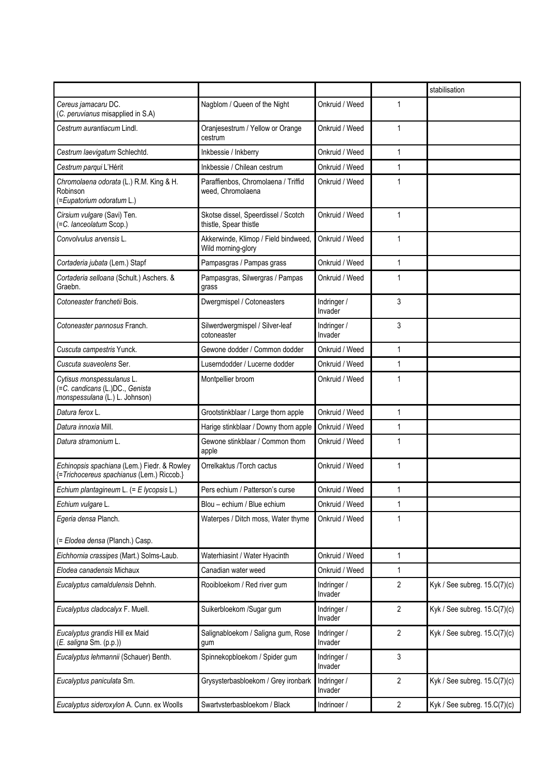|                                                                                                |                                                               |                        |                | stabilisation                  |
|------------------------------------------------------------------------------------------------|---------------------------------------------------------------|------------------------|----------------|--------------------------------|
| Cereus jamacaru DC.<br>(C. peruvianus misapplied in S.A)                                       | Nagblom / Queen of the Night                                  | Onkruid / Weed         | 1              |                                |
| Cestrum aurantiacum Lindl.                                                                     | Oranjesestrum / Yellow or Orange<br>cestrum                   | Onkruid / Weed         | 1              |                                |
| Cestrum laevigatum Schlechtd.                                                                  | Inkbessie / Inkberry                                          | Onkruid / Weed         | 1              |                                |
| Cestrum parqui L'Hérit                                                                         | Inkbessie / Chilean cestrum                                   | Onkruid / Weed         | 1              |                                |
| Chromolaena odorata (L.) R.M. King & H.<br>Robinson<br>(=Eupatorium odoratum L.)               | Paraffienbos, Chromolaena / Triffid<br>weed, Chromolaena      | Onkruid / Weed         | 1              |                                |
| Cirsium vulgare (Savi) Ten.<br>(=C. lanceolatum Scop.)                                         | Skotse dissel, Speerdissel / Scotch<br>thistle, Spear thistle | Onkruid / Weed         | 1              |                                |
| Convolvulus arvensis L.                                                                        | Akkerwinde, Klimop / Field bindweed,<br>Wild morning-glory    | Onkruid / Weed         | 1              |                                |
| Cortaderia jubata (Lem.) Stapf                                                                 | Pampasgras / Pampas grass                                     | Onkruid / Weed         | 1              |                                |
| Cortaderia selloana (Schult.) Aschers. &<br>Graebn.                                            | Pampasgras, Silwergras / Pampas<br>grass                      | Onkruid / Weed         | 1              |                                |
| Cotoneaster franchetii Bois.                                                                   | Dwergmispel / Cotoneasters                                    | Indringer /<br>Invader | 3              |                                |
| Cotoneaster pannosus Franch.                                                                   | Silwerdwergmispel / Silver-leaf<br>cotoneaster                | Indringer /<br>Invader | 3              |                                |
| Cuscuta campestris Yunck.                                                                      | Gewone dodder / Common dodder                                 | Onkruid / Weed         | 1              |                                |
| Cuscuta suaveolens Ser.                                                                        | Luserndodder / Lucerne dodder                                 | Onkruid / Weed         | 1              |                                |
| Cytisus monspessulanus L.<br>(=C. candicans (L.)DC., Genista<br>monspessulana (L.) L. Johnson) | Montpellier broom                                             | Onkruid / Weed         | 1              |                                |
| Datura ferox L.                                                                                | Grootstinkblaar / Large thorn apple                           | Onkruid / Weed         | $\mathbf{1}$   |                                |
| Datura innoxia Mill.                                                                           | Harige stinkblaar / Downy thorn apple                         | Onkruid / Weed         | $\mathbf{1}$   |                                |
| Datura stramonium L.                                                                           | Gewone stinkblaar / Common thorn<br>apple                     | Onkruid / Weed         | 1              |                                |
| Echinopsis spachiana (Lem.) Fiedr. & Rowley<br>{=Trichocereus spachianus (Lem.) Riccob.}       | Orrelkaktus /Torch cactus                                     | Onkruid / Weed         | 1              |                                |
| Echium plantagineum L. (= E lycopsis L.)                                                       | Pers echium / Patterson's curse                               | Onkruid / Weed         | 1              |                                |
| Echium vulgare L.                                                                              | Blou - echium / Blue echium                                   | Onkruid / Weed         | 1              |                                |
| Egeria densa Planch.                                                                           | Waterpes / Ditch moss, Water thyme                            | Onkruid / Weed         | 1              |                                |
| (= Elodea densa (Planch.) Casp.                                                                |                                                               |                        |                |                                |
| Eichhornia crassipes (Mart.) Solms-Laub.                                                       | Waterhiasint / Water Hyacinth                                 | Onkruid / Weed         | 1              |                                |
| Elodea canadensis Michaux                                                                      | Canadian water weed                                           | Onkruid / Weed         | $\mathbf{1}$   |                                |
| Eucalyptus camaldulensis Dehnh.                                                                | Rooibloekom / Red river gum                                   | Indringer /<br>Invader | $\overline{2}$ | Kyk / See subreg. 15.C(7)(c)   |
| Eucalyptus cladocalyx F. Muell.                                                                | Suikerbloekom /Sugar gum                                      | Indringer /<br>Invader | $\overline{2}$ | Kyk / See subreg. 15.C(7)(c)   |
| Eucalyptus grandis Hill ex Maid<br>(E. saligna Sm. (p.p.))                                     | Salignabloekom / Saligna gum, Rose<br>gum                     | Indringer /<br>Invader | $\overline{2}$ | Kyk / See subreg. $15.C(7)(c)$ |
| Eucalyptus lehmannii (Schauer) Benth.                                                          | Spinnekopbloekom / Spider gum                                 | Indringer /<br>Invader | 3              |                                |
| Eucalyptus paniculata Sm.                                                                      | Grysysterbasbloekom / Grey ironbark                           | Indringer /<br>Invader | 2              | Kyk / See subreg. 15.C(7)(c)   |
| Eucalyptus sideroxylon A. Cunn. ex Woolls                                                      | Swartvsterbashloekom / Black                                  | Indringer /            | $\overline{2}$ | Kyk / See subreg. 15.C(7)(c)   |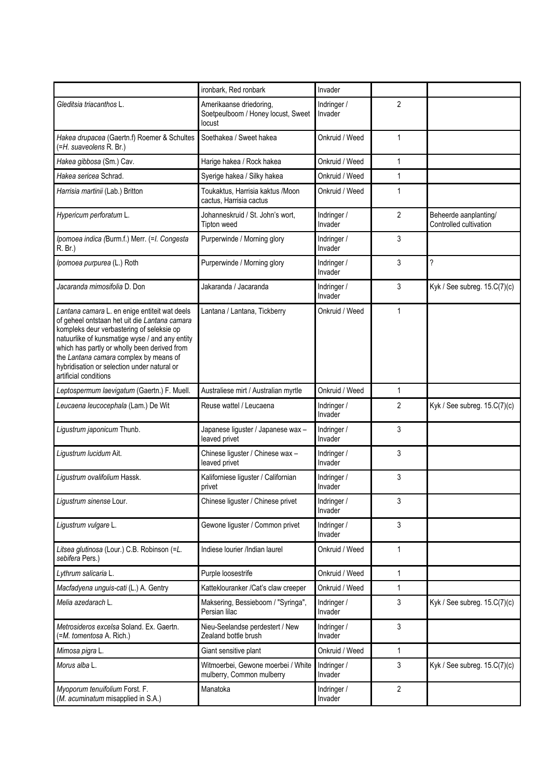|                                                                                                                                                                                                                                                                                                                                                                 | ironbark, Red ronbark                                                   | Invader                |                |                                                 |
|-----------------------------------------------------------------------------------------------------------------------------------------------------------------------------------------------------------------------------------------------------------------------------------------------------------------------------------------------------------------|-------------------------------------------------------------------------|------------------------|----------------|-------------------------------------------------|
| Gleditsia triacanthos L.                                                                                                                                                                                                                                                                                                                                        | Amerikaanse driedoring,<br>Soetpeulboom / Honey locust, Sweet<br>locust | Indringer /<br>Invader | $\overline{2}$ |                                                 |
| Hakea drupacea (Gaertn.f) Roemer & Schultes<br>(=H. suaveolens R. Br.)                                                                                                                                                                                                                                                                                          | Soethakea / Sweet hakea                                                 | Onkruid / Weed         | 1              |                                                 |
| Hakea gibbosa (Sm.) Cav.                                                                                                                                                                                                                                                                                                                                        | Harige hakea / Rock hakea                                               | Onkruid / Weed         | 1              |                                                 |
| Hakea sericea Schrad.                                                                                                                                                                                                                                                                                                                                           | Syerige hakea / Silky hakea                                             | Onkruid / Weed         | 1              |                                                 |
| Harrisia martinii (Lab.) Britton                                                                                                                                                                                                                                                                                                                                | Toukaktus, Harrisia kaktus / Moon<br>cactus, Harrisia cactus            | Onkruid / Weed         | $\mathbf{1}$   |                                                 |
| Hypericum perforatum L.                                                                                                                                                                                                                                                                                                                                         | Johanneskruid / St. John's wort,<br>Tipton weed                         | Indringer /<br>Invader | $\overline{2}$ | Beheerde aanplanting/<br>Controlled cultivation |
| Ipomoea indica (Burm.f.) Merr. (=1. Congesta<br>R. Br.)                                                                                                                                                                                                                                                                                                         | Purperwinde / Morning glory                                             | Indringer /<br>Invader | 3              |                                                 |
| Ipomoea purpurea (L.) Roth                                                                                                                                                                                                                                                                                                                                      | Purperwinde / Morning glory                                             | Indringer /<br>Invader | 3              | ?                                               |
| Jacaranda mimosifolia D. Don                                                                                                                                                                                                                                                                                                                                    | Jakaranda / Jacaranda                                                   | Indringer /<br>Invader | 3              | Kyk / See subreg. $15.C(7)(c)$                  |
| Lantana camara L. en enige entiteit wat deels<br>of geheel ontstaan het uit die Lantana camara<br>kompleks deur verbastering of seleksie op<br>natuurlike of kunsmatige wyse / and any entity<br>which has partly or wholly been derived from<br>the Lantana camara complex by means of<br>hybridisation or selection under natural or<br>artificial conditions | Lantana / Lantana, Tickberry                                            | Onkruid / Weed         | 1              |                                                 |
| Leptospermum laevigatum (Gaertn.) F. Muell.                                                                                                                                                                                                                                                                                                                     | Australiese mirt / Australian myrtle                                    | Onkruid / Weed         | 1              |                                                 |
| Leucaena leucocephala (Lam.) De Wit                                                                                                                                                                                                                                                                                                                             | Reuse wattel / Leucaena                                                 | Indringer /<br>Invader | $\overline{2}$ | Kyk / See subreg. 15.C(7)(c)                    |
| Ligustrum japonicum Thunb.                                                                                                                                                                                                                                                                                                                                      | Japanese liguster / Japanese wax -<br>leaved privet                     | Indringer /<br>Invader | 3              |                                                 |
| Ligustrum lucidum Ait.                                                                                                                                                                                                                                                                                                                                          | Chinese liguster / Chinese wax -<br>leaved privet                       | Indringer /<br>Invader | 3              |                                                 |
| Ligustrum ovalifolium Hassk.                                                                                                                                                                                                                                                                                                                                    | Kaliforniese liguster / Californian<br>privet                           | Indringer /<br>Invader | 3              |                                                 |
| Ligustrum sinense Lour.                                                                                                                                                                                                                                                                                                                                         | Chinese liguster / Chinese privet                                       | Indringer /<br>Invader | 3              |                                                 |
| Ligustrum vulgare L.                                                                                                                                                                                                                                                                                                                                            | Gewone liguster / Common privet                                         | Indringer /<br>Invader | 3              |                                                 |
| Litsea glutinosa (Lour.) C.B. Robinson (=L.<br>sebifera Pers.)                                                                                                                                                                                                                                                                                                  | Indiese lourier /Indian laurel                                          | Onkruid / Weed         | 1              |                                                 |
| Lythrum salicaria L.                                                                                                                                                                                                                                                                                                                                            | Purple loosestrife                                                      | Onkruid / Weed         | $\mathbf{1}$   |                                                 |
| Macfadyena unguis-cati (L.) A. Gentry                                                                                                                                                                                                                                                                                                                           | Katteklouranker / Cat's claw creeper                                    | Onkruid / Weed         | 1              |                                                 |
| Melia azedarach L.                                                                                                                                                                                                                                                                                                                                              | Maksering, Bessieboom / "Syringa",<br>Persian lilac                     | Indringer /<br>Invader | 3              | Kyk / See subreg. 15.C(7)(c)                    |
| Metrosideros excelsa Soland. Ex. Gaertn.<br>(=M. tomentosa A. Rich.)                                                                                                                                                                                                                                                                                            | Nieu-Seelandse perdestert / New<br>Zealand bottle brush                 | Indringer /<br>Invader | 3              |                                                 |
| Mimosa pigra L.                                                                                                                                                                                                                                                                                                                                                 | Giant sensitive plant                                                   | Onkruid / Weed         | 1              |                                                 |
| Morus alba L.                                                                                                                                                                                                                                                                                                                                                   | Witmoerbei, Gewone moerbei / White<br>mulberry, Common mulberry         | Indringer /<br>Invader | 3              | Kyk / See subreg. $15.C(7)(c)$                  |
| Myoporum tenuifolium Forst. F.<br>(M. acuminatum misapplied in S.A.)                                                                                                                                                                                                                                                                                            | Manatoka                                                                | Indringer /<br>Invader | $\overline{2}$ |                                                 |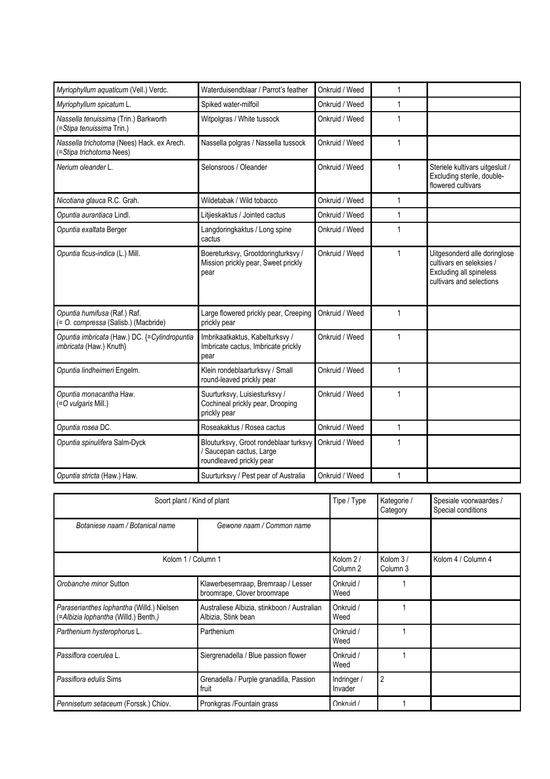| Myriophyllum aquaticum (Vell.) Verdc.                                    | Waterduisendblaar / Parrot's feather                                                          | Onkruid / Weed | 1            |                                                                                                                 |
|--------------------------------------------------------------------------|-----------------------------------------------------------------------------------------------|----------------|--------------|-----------------------------------------------------------------------------------------------------------------|
| Myriophyllum spicatum L.                                                 | Spiked water-milfoil                                                                          | Onkruid / Weed | 1            |                                                                                                                 |
| Nassella tenuissima (Trin.) Barkworth<br>(=Stipa tenuissima Trin.)       | Witpolgras / White tussock                                                                    | Onkruid / Weed | 1            |                                                                                                                 |
| Nassella trichotoma (Nees) Hack. ex Arech.<br>(=Stipa trichotoma Nees)   | Nassella polgras / Nassella tussock                                                           | Onkruid / Weed | $\mathbf{1}$ |                                                                                                                 |
| Nerium oleander L.                                                       | Selonsroos / Oleander                                                                         | Onkruid / Weed | 1            | Steriele kultivars uitgesluit /<br>Excluding sterile, double-<br>flowered cultivars                             |
| Nicotiana glauca R.C. Grah.                                              | Wildetabak / Wild tobacco                                                                     | Onkruid / Weed | 1            |                                                                                                                 |
| Opuntia aurantiaca Lindl.                                                | Litjieskaktus / Jointed cactus                                                                | Onkruid / Weed | 1            |                                                                                                                 |
| Opuntia exaltata Berger                                                  | Langdoringkaktus / Long spine<br>cactus                                                       | Onkruid / Weed | 1            |                                                                                                                 |
| Opuntia ficus-indica (L.) Mill.                                          | Boereturksvy, Grootdoringturksvy /<br>Mission prickly pear, Sweet prickly<br>pear             | Onkruid / Weed | 1            | Uitgesonderd alle doringlose<br>cultivars en seleksies /<br>Excluding all spineless<br>cultivars and selections |
| Opuntia humifusa (Raf.) Raf.<br>(= O. compressa (Salisb.) (Macbride)     | Large flowered prickly pear, Creeping<br>prickly pear                                         | Onkruid / Weed | 1            |                                                                                                                 |
| Opuntia imbricata (Haw.) DC. {=Cylindropuntia<br>imbricata (Haw.) Knuth} | Imbrikaatkaktus, Kabelturksvy /<br>Imbricate cactus, Imbricate prickly<br>pear                | Onkruid / Weed | 1            |                                                                                                                 |
| Opuntia lindheimeri Engelm.                                              | Klein rondeblaarturksvy / Small<br>round-leaved prickly pear                                  | Onkruid / Weed | 1            |                                                                                                                 |
| Opuntia monacantha Haw.<br>(=O vulgaris Mill.)                           | Suurturksvy, Luisiesturksvy /<br>Cochineal prickly pear, Drooping<br>prickly pear             | Onkruid / Weed | $\mathbf{1}$ |                                                                                                                 |
| Opuntia rosea DC.                                                        | Roseakaktus / Rosea cactus                                                                    | Onkruid / Weed | $\mathbf{1}$ |                                                                                                                 |
| Opuntia spinulifera Salm-Dyck                                            | Blouturksvy, Groot rondeblaar turksvy<br>/ Saucepan cactus, Large<br>roundleaved prickly pear | Onkruid / Weed | 1            |                                                                                                                 |
| Opuntia stricta (Haw.) Haw.                                              | Suurturksvy / Pest pear of Australia                                                          | Onkruid / Weed | $\mathbf{1}$ |                                                                                                                 |

| Soort plant / Kind of plant                                                       |                                                                    | Tipe / Type                     | Kategorie /<br>Category | Spesiale voorwaardes /<br>Special conditions |
|-----------------------------------------------------------------------------------|--------------------------------------------------------------------|---------------------------------|-------------------------|----------------------------------------------|
| Botaniese naam / Botanical name                                                   | Gewone naam / Common name                                          |                                 |                         |                                              |
| Kolom 1 / Column 1                                                                |                                                                    | Kolom 2/<br>Column <sub>2</sub> | Kolom 3/<br>Column 3    | Kolom 4 / Column 4                           |
| Orobanche minor Sutton                                                            | Klawerbesemraap, Bremraap / Lesser<br>broomrape, Clover broomrape  | Onkruid /<br>Weed               |                         |                                              |
| Paraserianthes lophantha (Willd.) Nielsen<br>(=Albizia lophantha (Willd.) Benth.) | Australiese Albizia, stinkboon / Australian<br>Albizia, Stink bean | Onkruid /<br>Weed               |                         |                                              |
| Parthenium hysterophorus L.                                                       | Parthenium                                                         | Onkruid /<br>Weed               |                         |                                              |
| Passiflora coerulea L.                                                            | Siergrenadella / Blue passion flower                               | Onkruid /<br>Weed               |                         |                                              |
| Passiflora edulis Sims                                                            | Grenadella / Purple granadilla, Passion<br>fruit                   | Indringer /<br>Invader          | $\overline{2}$          |                                              |
| Pennisetum setaceum (Forssk.) Chiov.                                              | Pronkgras / Fountain grass                                         | Onkruid /                       |                         |                                              |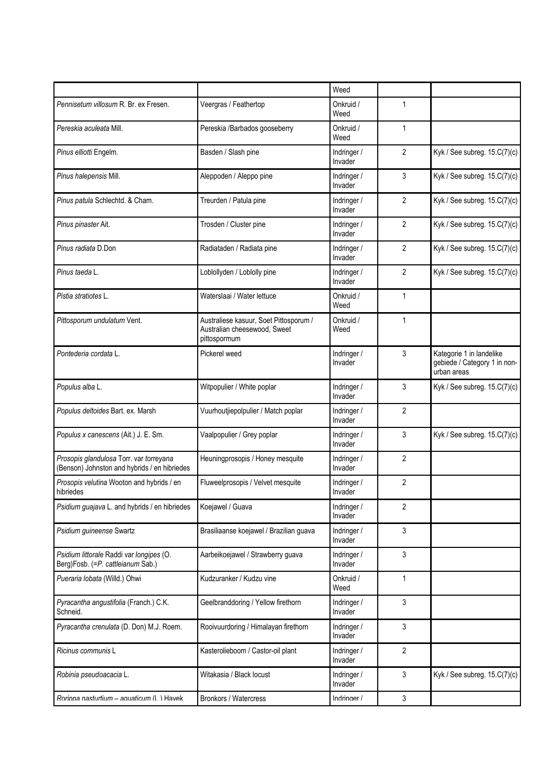|                                                                                         |                                                                                        | Weed                   |                |                                                                         |
|-----------------------------------------------------------------------------------------|----------------------------------------------------------------------------------------|------------------------|----------------|-------------------------------------------------------------------------|
| Pennisetum villosum R. Br. ex Fresen.                                                   | Veergras / Feathertop                                                                  | Onkruid /<br>Weed      | 1              |                                                                         |
| Pereskia aculeata Mill.                                                                 | Pereskia /Barbados gooseberry                                                          | Onkruid /<br>Weed      | 1              |                                                                         |
| Pinus elliotti Engelm.                                                                  | Basden / Slash pine                                                                    | Indringer /<br>Invader | $\overline{2}$ | Kyk / See subreg. $15.C(7)(c)$                                          |
| Pinus halepensis Mill.                                                                  | Aleppoden / Aleppo pine                                                                | Indringer /<br>Invader | 3              | Kyk / See subreg. 15.C(7)(c)                                            |
| Pinus patula Schlechtd. & Cham.                                                         | Treurden / Patula pine                                                                 | Indringer /<br>Invader | 2              | Kyk / See subreg. $15.C(7)(c)$                                          |
| Pinus pinaster Ait.                                                                     | Trosden / Cluster pine                                                                 | Indringer /<br>Invader | $\overline{2}$ | Kyk / See subreg. $15.C(7)(c)$                                          |
| Pinus radiata D.Don                                                                     | Radiataden / Radiata pine                                                              | Indringer /<br>Invader | 2              | Kyk / See subreg. 15.C(7)(c)                                            |
| Pinus taeda L.                                                                          | Loblollyden / Loblolly pine                                                            | Indringer /<br>Invader | 2              | Kyk / See subreg. $15.C(7)(c)$                                          |
| Pistia stratiotes L.                                                                    | Waterslaai / Water lettuce                                                             | Onkruid /<br>Weed      | 1              |                                                                         |
| Pittosporum undulatum Vent.                                                             | Australiese kasuur, Soet Pittosporum /<br>Australian cheesewood, Sweet<br>pittospormum | Onkruid /<br>Weed      | 1              |                                                                         |
| Pontederia cordata L.                                                                   | Pickerel weed                                                                          | Indringer /<br>Invader | 3              | Kategorie 1 in landelike<br>gebiede / Category 1 in non-<br>urban areas |
| Populus alba L.                                                                         | Witpopulier / White poplar                                                             | Indringer /<br>Invader | 3              | Kyk / See subreg. $15.C(7)(c)$                                          |
| Populus deltoides Bart. ex. Marsh                                                       | Vuurhoutjiepolpulier / Match poplar                                                    | Indringer /<br>Invader | 2              |                                                                         |
| Populus x canescens (Ait.) J. E. Sm.                                                    | Vaalpopulier / Grey poplar                                                             | Indringer /<br>Invader | 3              | Kyk / See subreg. $15.C(7)(c)$                                          |
| Prosopis glandulosa Torr. var torreyana<br>(Benson) Johnston and hybrids / en hibriedes | Heuningprosopis / Honey mesquite                                                       | Indringer /<br>Invader | 2              |                                                                         |
| Prosopis velutina Wooton and hybrids / en<br>hibriedes                                  | Fluweelprosopis / Velvet mesquite                                                      | Indringer /<br>Invader | 2              |                                                                         |
| Psidium guajava L. and hybrids / en hibriedes                                           | Koejawel / Guava                                                                       | Indringer /<br>Invader | 2              |                                                                         |
| Psidium guineense Swartz                                                                | Brasiliaanse koejawel / Brazilian guava                                                | Indringer /<br>Invader | 3              |                                                                         |
| Psidium littorale Raddi var longipes (O.<br>Berg)Fosb. (=P. cattleianum Sab.)           | Aarbeikoejawel / Strawberry guava                                                      | Indringer /<br>Invader | 3              |                                                                         |
| Pueraria lobata (Willd.) Ohwi                                                           | Kudzuranker / Kudzu vine                                                               | Onkruid /<br>Weed      | 1              |                                                                         |
| Pyracantha angustifolia (Franch.) C.K.<br>Schneid.                                      | Geelbranddoring / Yellow firethorn                                                     | Indringer /<br>Invader | 3              |                                                                         |
| Pyracantha crenulata (D. Don) M.J. Roem.                                                | Rooivuurdoring / Himalayan firethorn                                                   | Indringer /<br>Invader | 3              |                                                                         |
| Ricinus communis L                                                                      | Kasterolieboom / Castor-oil plant                                                      | Indringer /<br>Invader | $\overline{2}$ |                                                                         |
| Robinia pseudoacacia L.                                                                 | Witakasia / Black locust                                                               | Indringer /<br>Invader | 3              | Kyk / See subreg. $15.C(7)(c)$                                          |
| Rorinna nasturtium - aquaticum (1) Havek                                                | Bronkors / Watercress                                                                  | Indringer /            | 3              |                                                                         |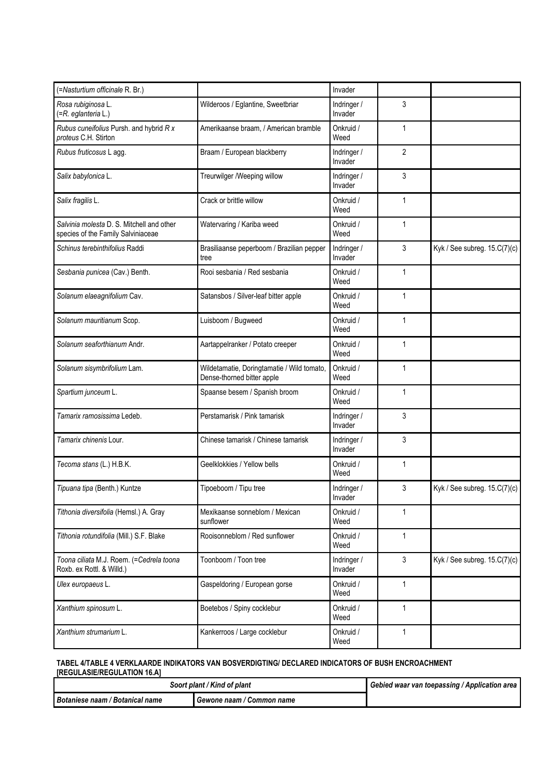| (=Nasturtium officinale R. Br.)                                                 |                                                                          | Invader                |              |                                |
|---------------------------------------------------------------------------------|--------------------------------------------------------------------------|------------------------|--------------|--------------------------------|
| Rosa rubiginosa L.<br>(=R. eglanteria L.)                                       | Wilderoos / Eglantine, Sweetbriar                                        | Indringer /<br>Invader | 3            |                                |
| Rubus cuneifolius Pursh. and hybrid R x<br>proteus C.H. Stirton                 | Amerikaanse braam. / American bramble                                    | Onkruid /<br>Weed      | 1            |                                |
| Rubus fruticosus L agg.                                                         | Braam / European blackberry                                              | Indringer /<br>Invader | 2            |                                |
| Salix babylonica L.                                                             | Treurwilger /Weeping willow                                              | Indringer /<br>Invader | 3            |                                |
| Salix fragilis L.                                                               | Crack or brittle willow                                                  | Onkruid /<br>Weed      | $\mathbf{1}$ |                                |
| Salvinia molesta D. S. Mitchell and other<br>species of the Family Salviniaceae | Watervaring / Kariba weed                                                | Onkruid /<br>Weed      | 1            |                                |
| Schinus terebinthifolius Raddi                                                  | Brasiliaanse peperboom / Brazilian pepper<br>tree                        | Indringer /<br>Invader | 3            | Kyk / See subreg. $15.C(7)(c)$ |
| Sesbania punicea (Cav.) Benth.                                                  | Rooi sesbania / Red sesbania                                             | Onkruid /<br>Weed      | 1            |                                |
| Solanum elaeagnifolium Cav.                                                     | Satansbos / Silver-leaf bitter apple                                     | Onkruid /<br>Weed      | 1            |                                |
| Solanum mauritianum Scop.                                                       | Luisboom / Bugweed                                                       | Onkruid /<br>Weed      | 1            |                                |
| Solanum seaforthianum Andr.                                                     | Aartappelranker / Potato creeper                                         | Onkruid /<br>Weed      | $\mathbf{1}$ |                                |
| Solanum sisymbrifolium Lam.                                                     | Wildetamatie, Doringtamatie / Wild tomato,<br>Dense-thorned bitter apple | Onkruid /<br>Weed      | $\mathbf{1}$ |                                |
| Spartium junceum L.                                                             | Spaanse besem / Spanish broom                                            | Onkruid /<br>Weed      | 1            |                                |
| Tamarix ramosissima Ledeb.                                                      | Perstamarisk / Pink tamarisk                                             | Indringer /<br>Invader | 3            |                                |
| Tamarix chinenis Lour.                                                          | Chinese tamarisk / Chinese tamarisk                                      | Indringer /<br>Invader | 3            |                                |
| Tecoma stans (L.) H.B.K.                                                        | Geelklokkies / Yellow bells                                              | Onkruid /<br>Weed      | 1            |                                |
| Tipuana tipa (Benth.) Kuntze                                                    | Tipoeboom / Tipu tree                                                    | Indringer /<br>Invader | 3            | Kyk / See subreg. 15.C(7)(c)   |
| Tithonia diversifolia (Hemsl.) A. Gray                                          | Mexikaanse sonneblom / Mexican<br>sunflower                              | Onkruid /<br>Weed      | 1            |                                |
| Tithonia rotundifolia (Mill.) S.F. Blake                                        | Rooisonneblom / Red sunflower                                            | Onkruid /<br>Weed      | 1            |                                |
| Toona ciliata M.J. Roem. (=Cedrela toona<br>Roxb. ex Rottl. & Willd.)           | Toonboom / Toon tree                                                     | Indringer /<br>Invader | 3            | Kyk / See subreg. $15.C(7)(c)$ |
| Ulex europaeus L.                                                               | Gaspeldoring / European gorse                                            | Onkruid /<br>Weed      | 1            |                                |
| Xanthium spinosum L.                                                            | Boetebos / Spiny cocklebur                                               | Onkruid /<br>Weed      | 1            |                                |
| Xanthium strumarium L.                                                          | Kankerroos / Large cocklebur                                             | Onkruid /<br>Weed      | 1            |                                |

#### **TABEL 4/TABLE 4 VERKLAARDE INDIKATORS VAN BOSVERDIGTING/ DECLARED INDICATORS OF BUSH ENCROACHMENT [REGULASIE/REGULATION 16.A]**

| Soort plant / Kind of plant     |                             | ↑ Gebied waar van toepassing / Application area |
|---------------------------------|-----------------------------|-------------------------------------------------|
| Botaniese naam / Botanical name | . Gewone naam / Common name |                                                 |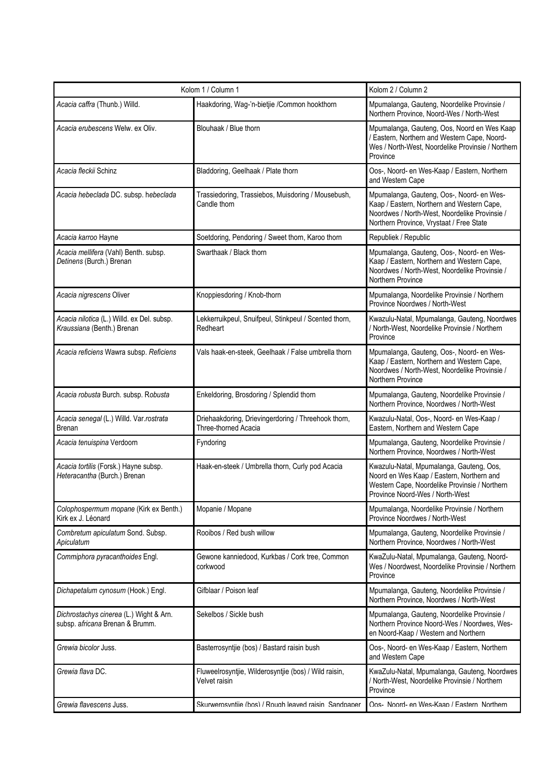| Kolom 1 / Column 1                                                         |                                                                             | Kolom 2 / Column 2                                                                                                                                                                   |
|----------------------------------------------------------------------------|-----------------------------------------------------------------------------|--------------------------------------------------------------------------------------------------------------------------------------------------------------------------------------|
| Acacia caffra (Thunb.) Willd.                                              | Haakdoring, Wag-'n-bietjie /Common hookthorn                                | Mpumalanga, Gauteng, Noordelike Provinsie /<br>Northern Province, Noord-Wes / North-West                                                                                             |
| Acacia erubescens Welw, ex Oliv.                                           | Blouhaak / Blue thorn                                                       | Mpumalanga, Gauteng, Oos, Noord en Wes Kaap<br>/ Eastern, Northern and Western Cape, Noord-<br>Wes / North-West, Noordelike Provinsie / Northern<br>Province                         |
| Acacia fleckii Schinz                                                      | Bladdoring, Geelhaak / Plate thorn                                          | Oos-, Noord- en Wes-Kaap / Eastern, Northern<br>and Western Cape                                                                                                                     |
| Acacia hebeclada DC. subsp. hebeclada                                      | Trassiedoring, Trassiebos, Muisdoring / Mousebush,<br>Candle thorn          | Mpumalanga, Gauteng, Oos-, Noord- en Wes-<br>Kaap / Eastern, Northern and Western Cape,<br>Noordwes / North-West, Noordelike Provinsie /<br>Northern Province, Vrystaat / Free State |
| Acacia karroo Hayne                                                        | Soetdoring, Pendoring / Sweet thorn, Karoo thorn                            | Republiek / Republic                                                                                                                                                                 |
| Acacia mellifera (Vahl) Benth. subsp.<br>Detinens (Burch.) Brenan          | Swarthaak / Black thorn                                                     | Mpumalanga, Gauteng, Oos-, Noord- en Wes-<br>Kaap / Eastern, Northern and Western Cape,<br>Noordwes / North-West, Noordelike Provinsie /<br>Northern Province                        |
| Acacia nigrescens Oliver                                                   | Knoppiesdoring / Knob-thorn                                                 | Mpumalanga, Noordelike Provinsie / Northern<br>Province Noordwes / North-West                                                                                                        |
| Acacia nilotica (L.) Willd. ex Del. subsp.<br>Kraussiana (Benth.) Brenan   | Lekkerruikpeul, Snuifpeul, Stinkpeul / Scented thorn,<br>Redheart           | Kwazulu-Natal, Mpumalanga, Gauteng, Noordwes<br>/ North-West, Noordelike Provinsie / Northern<br>Province                                                                            |
| Acacia reficiens Wawra subsp. Reficiens                                    | Vals haak-en-steek, Geelhaak / False umbrella thorn                         | Mpumalanga, Gauteng, Oos-, Noord- en Wes-<br>Kaap / Eastern, Northern and Western Cape,<br>Noordwes / North-West, Noordelike Provinsie /<br>Northern Province                        |
| Acacia robusta Burch. subsp. Robusta                                       | Enkeldoring, Brosdoring / Splendid thorn                                    | Mpumalanga, Gauteng, Noordelike Provinsie /<br>Northern Province, Noordwes / North-West                                                                                              |
| Acacia senegal (L.) Willd. Var.rostrata<br>Brenan                          | Driehaakdoring, Drievingerdoring / Threehook thorn,<br>Three-thorned Acacia | Kwazulu-Natal, Oos-, Noord- en Wes-Kaap /<br>Eastern, Northern and Western Cape                                                                                                      |
| Acacia tenuispina Verdoorn                                                 | Fyndoring                                                                   | Mpumalanga, Gauteng, Noordelike Provinsie /<br>Northern Province, Noordwes / North-West                                                                                              |
| Acacia tortilis (Forsk.) Hayne subsp.<br>Heteracantha (Burch.) Brenan      | Haak-en-steek / Umbrella thorn, Curly pod Acacia                            | Kwazulu-Natal, Mpumalanga, Gauteng, Oos,<br>Noord en Wes Kaap / Eastern, Northern and<br>Western Cape, Noordelike Provinsie / Northern<br>Province Noord-Wes / North-West            |
| Colophospermum mopane (Kirk ex Benth.)<br>Kirk ex J. Léonard               | Mopanie / Mopane                                                            | Mpumalanga, Noordelike Provinsie / Northern<br>Province Noordwes / North-West                                                                                                        |
| Combretum apiculatum Sond. Subsp.<br>Apiculatum                            | Rooibos / Red bush willow                                                   | Mpumalanga, Gauteng, Noordelike Provinsie /<br>Northern Province, Noordwes / North-West                                                                                              |
| Commiphora pyracanthoides Engl.                                            | Gewone kanniedood, Kurkbas / Cork tree, Common<br>corkwood                  | KwaZulu-Natal, Mpumalanga, Gauteng, Noord-<br>Wes / Noordwest, Noordelike Provinsie / Northern<br>Province                                                                           |
| Dichapetalum cynosum (Hook.) Engl.                                         | Gifblaar / Poison leaf                                                      | Mpumalanga, Gauteng, Noordelike Provinsie /<br>Northern Province, Noordwes / North-West                                                                                              |
| Dichrostachys cinerea (L.) Wight & Arn.<br>subsp. africana Brenan & Brumm. | Sekelbos / Sickle bush                                                      | Mpumalanga, Gauteng, Noordelike Provinsie /<br>Northern Province Noord-Wes / Noordwes, Wes-<br>en Noord-Kaap / Western and Northern                                                  |
| Grewia bicolor Juss.                                                       | Basterrosyntjie (bos) / Bastard raisin bush                                 | Oos-, Noord- en Wes-Kaap / Eastern, Northern<br>and Western Cape                                                                                                                     |
| Grewia flava DC.                                                           | Fluweelrosyntjie, Wilderosyntjie (bos) / Wild raisin,<br>Velvet raisin      | KwaZulu-Natal, Mpumalanga, Gauteng, Noordwes<br>/ North-West, Noordelike Provinsie / Northern<br>Province                                                                            |
| Grewia flavescens Juss.                                                    | Skurwerosvntije (bos) / Rough leaved raisin Sandnaner                       | Oos- Noord- en Wes-Kaan / Fastern Northern                                                                                                                                           |